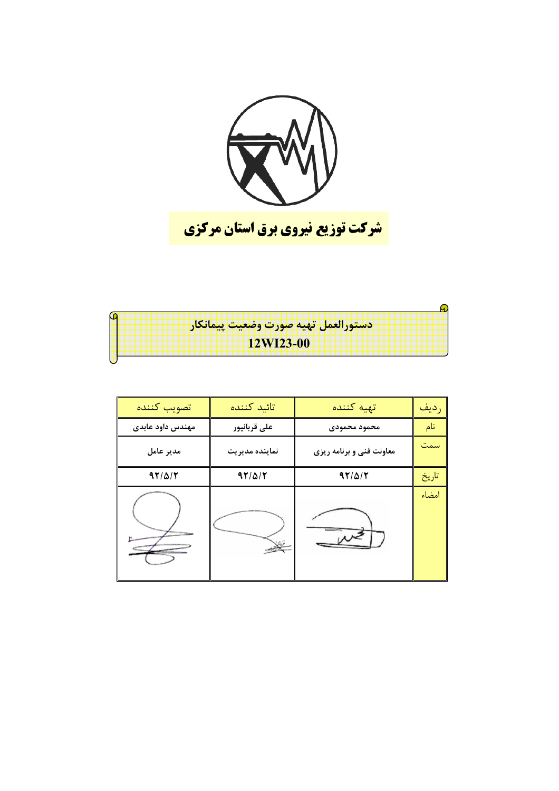

| دستورالعمل تهيه صورت وضعيت ييمانكار |
|-------------------------------------|
|                                     |
| <b>12WI23-00</b>                    |
|                                     |
|                                     |
|                                     |

| تصويب كننده      | تائىد كنندە    | تهيه كننده               | رديف  |
|------------------|----------------|--------------------------|-------|
| مهندس داود عابدى | على قربانپور   | محمود محمودي             | نام   |
| مدير عامل        | نماينده مديريت | معاونت فنی و برنامه ریزی | سمت   |
| $97/\Delta/T$    | $97/\Delta/T$  | $97/\Delta/T$            | تاريخ |
|                  |                |                          | امضاء |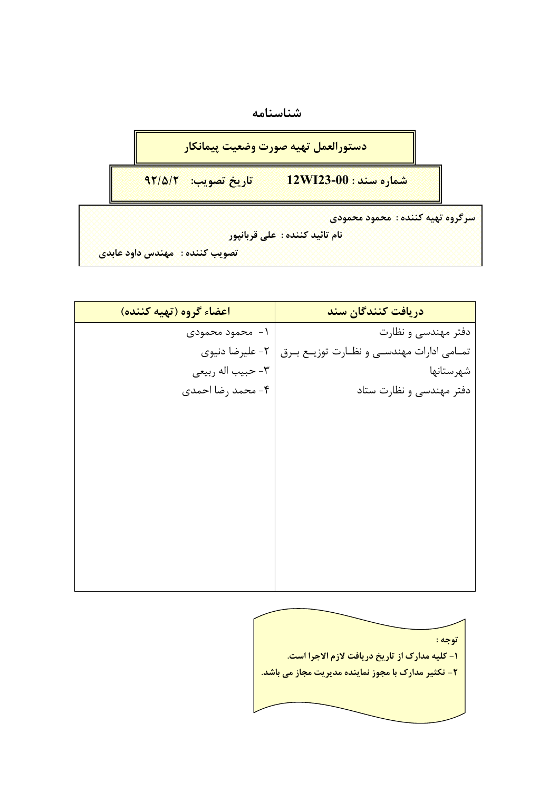



<mark>نام تائيد كننده : على قربانپور</mark>

```
ا<mark>تصويب كننده : امهندس داود عابدي</mark>
```

| اعضاء گروه (تهيه كننده) | دريافت كنندگان سند                              |
|-------------------------|-------------------------------------------------|
| ۱-۔محمود محمودی         | دفتر مهندسی و نظارت                             |
| ٢- عليرضا دنيوي         | تمــامي ادارات مهندســي و نظــارت توزيــع بــرق |
| ٣- حبيب اله ربيعي       | شهرستانها                                       |
| ۴- محمد رضا احمدی       | دفتر مهندسی و نظارت ستاد                        |
|                         |                                                 |
|                         |                                                 |
|                         |                                                 |
|                         |                                                 |
|                         |                                                 |
|                         |                                                 |
|                         |                                                 |
|                         |                                                 |
|                         |                                                 |
|                         |                                                 |

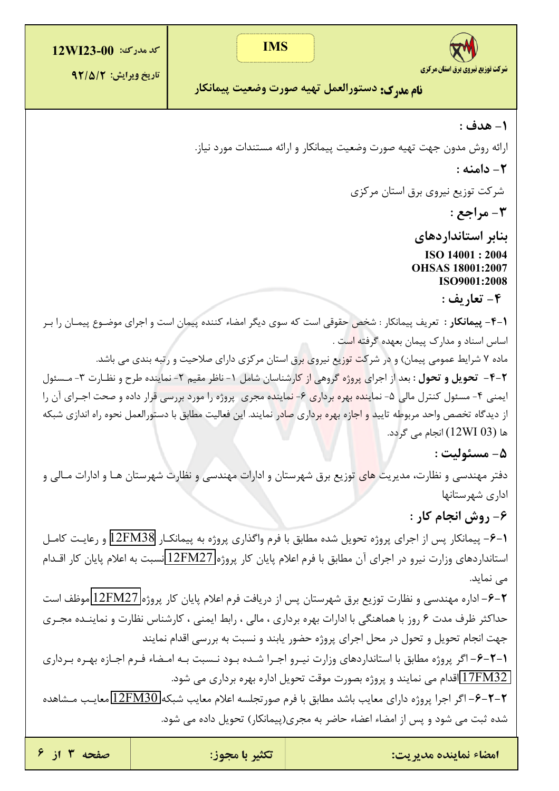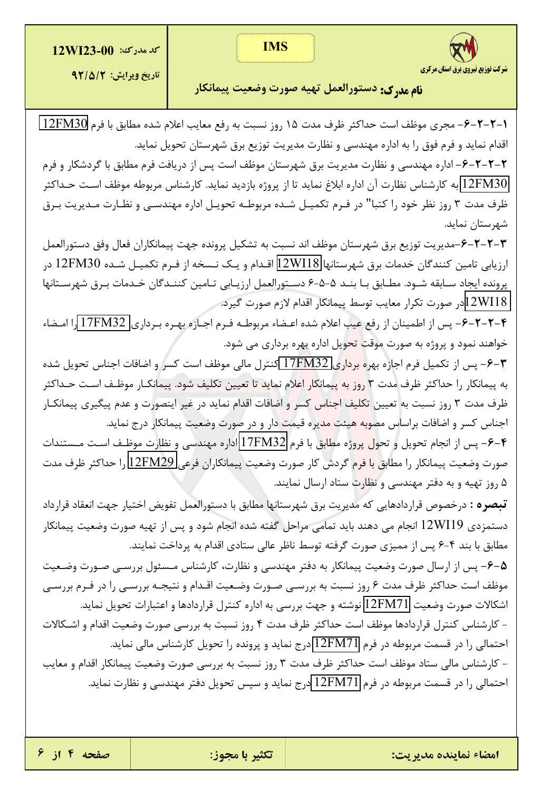**IMS** 

**كد مدرك: 00-12WI23** 



<mark>نام مدرك:</mark> دستورالعمل تهيه صورت وضعيت پيمانكار

1-۲-۲-۶- مجرى موظف است حداكثر ظرف مدت ۱۵ روز نسبت به رفع معايب اعلام شده مطابق با فرم 12FM30 اقدام نماید و فرم فوق را به اداره مهندسی و نظارت مدیریت توزیع برق شهرستان تحویل نماید. ۲–۲–۲–۶–اداره مهندسی و نظارت مدیریت برق شهرستان موظف است پس از دریافت فرم مطابق با گردشکار و فرم 12FM30 به كارشناس نظارت آن اداره ابلاغ نمايد تا از پروژه بازديد نمايد. كارشناس مربوطه موظف اسـت حـداكثر ظرف مدت ۳ روز نظر خود را كتبا" در فـرم تكميـل شـده مربوطـه تحويـل اداره مهندسـي و نظـارت مـديريت بـرق

۴-۲-۲-۴-مدیریت توزیع برق شهرستان موظف اند نسبت به تشکیل پرونده جهت پیمانکاران فعال وفق دستورالعمل ارزيابي تامين كنندگان خدمات برق شهرستانها 12WI18 اقـدام و يـك نـسخه از فـرم تكميـل شـده 12FM30 در پرونده ایجاد سـابقه شـود. مطـابق بـا بنــد ۵−۵−۶ دسـتورالعمل ارزیـابی تـامین کننــدگان خــدمات بـرق شهرسـتانها 12WI18در صورت تكرار معايب توسط پيمانكار اقدام لازم صورت گيرد.

**۴–۲–۲–۶–** پس از اطمینان از رفع عیب اعلام شده اعـضاء مربوطـه فـرم اجـازه بهـره بـرداری 17FM32 را امـضاء خواهند نمود و پروژه به صورت موقت <mark>تح</mark>ویل اداره بهره برداری می شود.

۴−۶− پس از تکمیل فرم اجازه بهره <mark>بردار</mark>ی 17FM32 کنترل مالی موظف است کسر و اضافات اجناس تحویل شده به پیمانکار را حداکثر ظرف مدت ۳ <mark>روز به پیمانکار اعلا</mark>م نماید تا تعیین تکلیف شود. پیمانکـار موظـف اسـت حـداکثر ظرف مدت ۳ روز نسبت به تعیین <mark>تکلیف اجناس کسر و اضافات اقدام نماید در غیر اینصورت و عدم پیگیری پیمانکـار</mark> اجناس کسر و اضافات براساس مص<mark>وبه ه</mark>یئت مدیره قیمت دار و در صورت وضعیت پیمانکار درج نماید.

۴–۶– پس از انجام تحویل و تحول پروژه م<mark>طاب</mark>ق با فرم 17FM32 اداره مهندسی و نظارت موظـف اسـت مـستندات صورت وضعيت پيمانكار را مطابق <mark>با فر</mark>م گردش كار صورت وضعيت پيمانكاران فرعي 12FM29 را حداكثر ظرف مدت ۵ روز تهیه و به دفتر مهندسی و نظارت ستاد ارسال نمایند.

**تبصره :** درخصوص قراردادهایی که مدیریت برق شهرستانها مطابق با دستورالعمل تفویض اختیار جهت انعقاد قرارداد دستمزدی 12WI19 انجام می دهند باید تمامی مراحل گفته شده انجام شود و پس از تهیه صورت وضعیت پیمانکار مطابق با بند ۴-۶ پس از ممیزی صورت گرفته توسط ناظر عالی ستادی اقدام به پرداخت نمایند.

۵−۶− پس از ارسال صورت وضعیت پیمانکار به دفتر مهندسی و نظارت، کارشناس مـسئول بررسـی صـورت وضـعیت موظف است حداکثر ظرف مدت ۶ روز نسبت به بررسـي صـورت وضـعيت اقـدام و نتيجــه بررسـي را در فـرم بررسـي اشكالات صورت وضعيت 12FM71 نوشته و جهت بررسي به اداره كنترل قراردادها و اعتبارات تحويل نمايد.

- كارشناس كنترل قراردادها موظف است حداكثر ظرف مدت ۴ روز نسبت به بررسي صورت وضعيت اقدام و اشـكالات احتمالی را در قسمت مربوطه در فرم 12FM71 درج نماید و پرونده را تحویل کارشناس مالی نماید.

– کارشناس مالی ستاد موظف است حداکثر ظرف مدت ۳ روز نسبت به بررسی صورت وضعیت پیمانکار اقدام و معایب احتمالي را در قسمت مربوطه در فرم 12FM71 درج نمايد و سپس تحويل دفتر مهندسي و نظارت نمايد.

شرکت توزیع نیروی برق استان مرکزی

شهرستان نماید.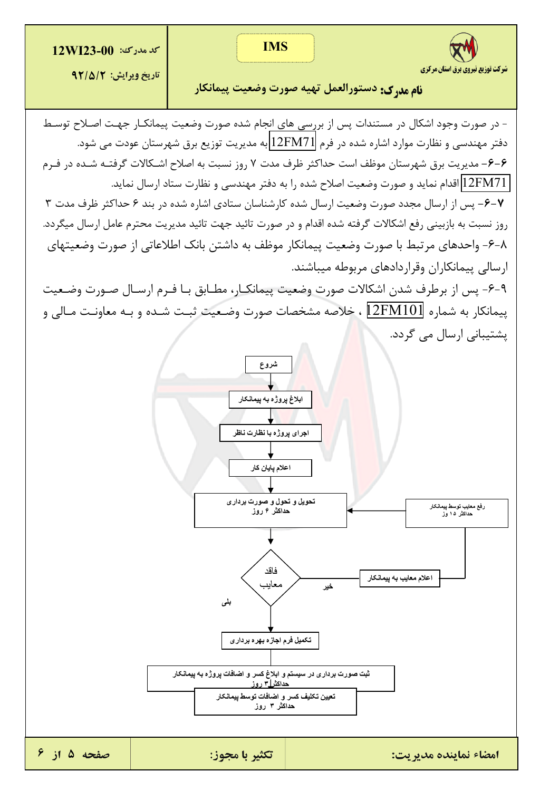**كد مدرك: 12WI23-00** 



تاريخ ويرايش: ٩٢/٥/٢

**نام مد. ک:** دستورالعمل تهیه صورت وضعیت پیمانکار

- در صورت وجود اشکال در مستندات پس از بررسی های انجام شده صورت وضعیت پیمانکــار جهــت اصــلاح توسـط دفتر مهندسی و نظارت موارد اشاره شده در فرم 12FM71 به مدیریت توزیع برق شهرستان عودت می شود. ۶–۶– مدیریت برق شهرستان موظف است حداکثر ظرف مدت ۷ روز نسبت به اصلاح اشـکالات گرفتــه شــده در فــرم 12FM71 اقدام نماید و صورت وضعیت اصلاح شده را به دفتر مهندسی و نظارت ستاد ارسال نماید. ۰۶–۲– پس از ارسال مجدد صورت وضعیت ارسال شده کارشناسان ستادی اشاره شده در بند ۶ حداکثر ظرف مدت ۳ روز نسبت به بازبینی رفع اشکالات گرفته شده اقدام و در صورت تائید جهت تائید مدیریت محترم عامل ارسال میگردد. ۰۸–۶– واحدهای مرتبط با صورت وضعیت پیمانکار موظف به داشتن بانک اطلاعاتی از صورت وضعیتهای ارسالی پیمانکاران وقراردادهای مربوطه میباشند.

٩-۶- پس از برطرف شدن اشكالات صورت وضعيت پيمانكـار، مطـابق بـا فـرم ارسـال صـورت وضـعيت پیمانکار به شماره 12FM101 ، خلاصه مشخصات صورت وضـعیت ثبـت شـده و بـه معاونـت مـالی و یشتیبانی ارسال می گردد.